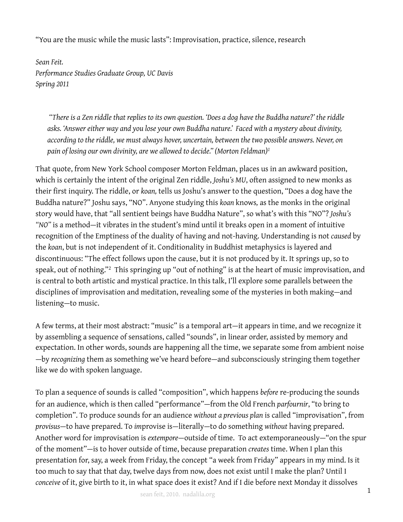"You are the music while the music lasts": Improvisation, practice, silence, research

*Sean Feit. Performance Studies Graduate Group, UC Davis Spring 2011*

 *"There is a Zen riddle that replies to its own question. 'Does a dog have the Buddha nature?' the riddle asks. 'Answer either way and you lose your own Buddha nature.' Faced with a mystery about divinity, according to the riddle, we must always hover, uncertain, between the two possible answers. Never, on pain of losing our own divinity, are we allowed to decide." (Morton Feldman)[1](#page-5-0)*

That quote, from New York School composer Morton Feldman, places us in an awkward position, which is certainly the intent of the original Zen riddle, *Joshu's MU*, often assigned to new monks as their first inquiry. The riddle, or *koan,* tells us Joshu's answer to the question, "Does a dog have the Buddha nature?" Joshu says, "NO". Anyone studying this *koan* knows*,* as the monks in the original story would have, that "all sentient beings have Buddha Nature", so what's with this "NO"? *Joshu's "NO"* is a method—it vibrates in the student's mind until it breaks open in a moment of intuitive recognition of the Emptiness of the duality of having and not-having. Understanding is not *caused* by the *koan*, but is not independent of it. Conditionality in Buddhist metaphysics is layered and discontinuous: "The effect follows upon the cause, but it is not produced by it. It springs up, so to speak, out of nothing."[2](#page-5-1) This springing up "out of nothing" is at the heart of music improvisation, and is central to both artistic and mystical practice. In this talk, I'll explore some parallels between the disciplines of improvisation and meditation, revealing some of the mysteries in both making—and listening—to music.

A few terms, at their most abstract: "music" is a temporal art—it appears in time, and we recognize it by assembling a sequence of sensations, called "sounds", in linear order, assisted by memory and expectation. In other words, sounds are happening all the time, we separate some from ambient noise —by *recognizing* them as something we've heard before—and subconsciously stringing them together like we do with spoken language.

To plan a sequence of sounds is called "composition", which happens *before* re-producing the sounds for an audience, which is then called "performance"—from the Old French *parfournir*, "to bring to completion". To produce sounds for an audience *without a previous plan* is called "improvisation", from *provisus*—to have prepared. To *im*provise is—literally—to do something *without* having prepared. Another word for improvisation is *extempore*—outside of time. To act extemporaneously—"on the spur of the moment"—is to hover outside of time, because preparation *creates* time. When I plan this presentation for, say, a week from Friday, the concept "a week from Friday" appears in my mind. Is it too much to say that that day, twelve days from now, does not exist until I make the plan? Until I *conceive* of it, give birth to it, in what space does it exist? And if I die before next Monday it dissolves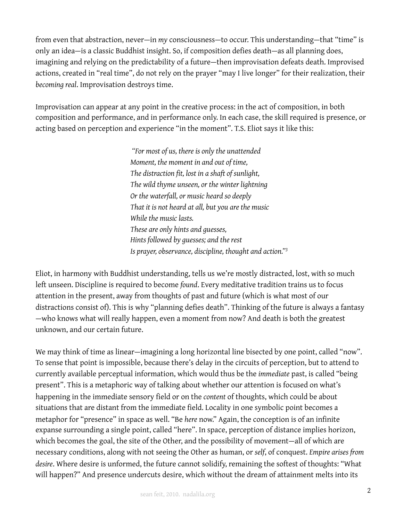from even that abstraction, never—in *my* consciousness—to occur. This understanding—that "time" is only an idea—is a classic Buddhist insight. So, if composition defies death—as all planning does, imagining and relying on the predictability of a future—then improvisation defeats death. Improvised actions, created in "real time", do not rely on the prayer "may I live longer" for their realization, their *becoming real*. Improvisation destroys time.

Improvisation can appear at any point in the creative process: in the act of composition, in both composition and performance, and in performance only. In each case, the skill required is presence, or acting based on perception and experience "in the moment". T.S. Eliot says it like this:

> *"For most of us, there is only the unattended Moment, the moment in and out of time, The distraction fit, lost in a shaft of sunlight, The wild thyme unseen, or the winter lightning Or the waterfall, or music heard so deeply That it is not heard at all, but you are the music While the music lasts. These are only hints and guesses, Hints followed by guesses; and the rest Is prayer, observance, discipline, thought and action."[3](#page-5-2)*

Eliot, in harmony with Buddhist understanding, tells us we're mostly distracted, lost, with so much left unseen. Discipline is required to become *found*. Every meditative tradition trains us to focus attention in the present, away from thoughts of past and future (which is what most of our distractions consist of). This is why "planning defies death". Thinking of the future is always a fantasy —who knows what will really happen, even a moment from now? And death is both the greatest unknown, and our certain future.

We may think of time as linear—imagining a long horizontal line bisected by one point, called "now". To sense that point is impossible, because there's delay in the circuits of perception, but to attend to currently available perceptual information, which would thus be the *immediate* past, is called "being present". This is a metaphoric way of talking about whether our attention is focused on what's happening in the immediate sensory field or on the *content* of thoughts, which could be about situations that are distant from the immediate field. Locality in one symbolic point becomes a metaphor for "presence" in space as well. "Be *here* now." Again, the conception is of an infinite expanse surrounding a single point, called "here". In space, perception of distance implies horizon, which becomes the goal, the site of the Other, and the possibility of movement—all of which are necessary conditions, along with not seeing the Other as human, or *self*, of conquest. *Empire arises from desire*. Where desire is unformed, the future cannot solidify, remaining the softest of thoughts: "What will happen?" And presence undercuts desire, which without the dream of attainment melts into its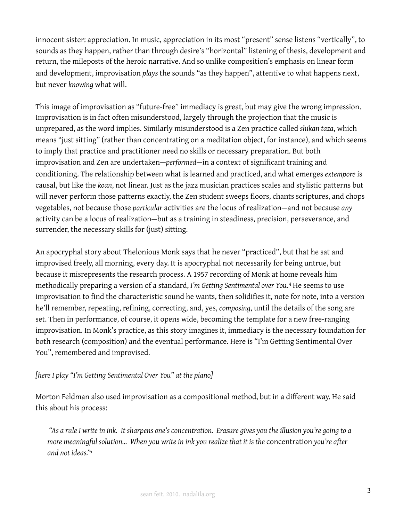innocent sister: appreciation. In music, appreciation in its most "present" sense listens "vertically", to sounds as they happen, rather than through desire's "horizontal" listening of thesis, development and return, the mileposts of the heroic narrative. And so unlike composition's emphasis on linear form and development, improvisation *plays* the sounds "as they happen", attentive to what happens next, but never *knowing* what will.

This image of improvisation as "future-free" immediacy is great, but may give the wrong impression. Improvisation is in fact often misunderstood, largely through the projection that the music is unprepared, as the word implies. Similarly misunderstood is a Zen practice called *shikan taza*, which means "just sitting" (rather than concentrating on a meditation object, for instance), and which seems to imply that practice and practitioner need no skills or necessary preparation. But both improvisation and Zen are undertaken—*performed*—in a context of significant training and conditioning. The relationship between what is learned and practiced, and what emerges *extempore* is causal, but like the *koan*, not linear. Just as the jazz musician practices scales and stylistic patterns but will never perform those patterns exactly, the Zen student sweeps floors, chants scriptures, and chops vegetables, not because those *particular* activities are the locus of realization—and not because *any* activity can be a locus of realization—but as a training in steadiness, precision, perseverance, and surrender, the necessary skills for (just) sitting.

An apocryphal story about Thelonious Monk says that he never "practiced", but that he sat and improvised freely, all morning, every day. It is apocryphal not necessarily for being untrue, but because it misrepresents the research process. A 1957 recording of Monk at home reveals him methodically preparing a version of a standard, *I'm Getting Sentimental over You*. [4](#page-5-3) He seems to use improvisation to find the characteristic sound he wants, then solidifies it, note for note, into a version he'll remember, repeating, refining, correcting, and, yes, *composing*, until the details of the song are set. Then in performance, of course, it opens wide, becoming the template for a new free-ranging improvisation. In Monk's practice, as this story imagines it, immediacy is the necessary foundation for both research (composition) and the eventual performance. Here is "I'm Getting Sentimental Over You", remembered and improvised.

## *[here I play "I'm Getting Sentimental Over You" at the piano]*

Morton Feldman also used improvisation as a compositional method, but in a different way. He said this about his process:

 *"As a rule I write in ink. It sharpens one's concentration. Erasure gives you the illusion you're going to a more meaningful solution… When you write in ink you realize that it is the* concentration *you're after and not ideas.["5](#page-5-4)*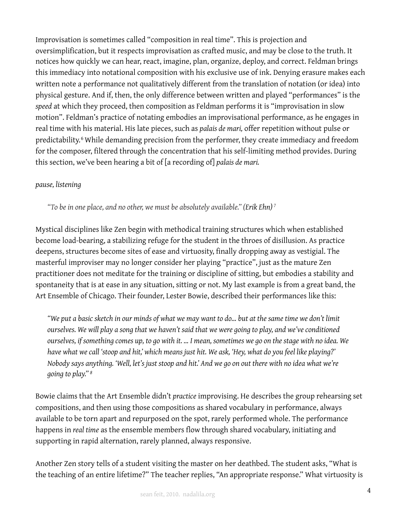Improvisation is sometimes called "composition in real time". This is projection and oversimplification, but it respects improvisation as crafted music, and may be close to the truth. It notices how quickly we can hear, react, imagine, plan, organize, deploy, and correct. Feldman brings this immediacy into notational composition with his exclusive use of ink. Denying erasure makes each written note a performance not qualitatively different from the translation of notation (or idea) into physical gesture. And if, then, the only difference between written and played "performances" is the *speed* at which they proceed, then composition as Feldman performs it is "improvisation in slow motion". Feldman's practice of notating embodies an improvisational performance, as he engages in real time with his material. His late pieces, such as *palais de mari,* offer repetition without pulse or predictability.<sup>[6](#page-5-5)</sup> While demanding precision from the performer, they create immediacy and freedom for the composer, filtered through the concentration that his self-limiting method provides. During this section, we've been hearing a bit of [a recording of] *palais de mari.*

## *pause, listening*

*"To be in one place, and no other, we must be absolutely available." (Erik Ehn) [7](#page-5-6)*

Mystical disciplines like Zen begin with methodical training structures which when established become load-bearing, a stabilizing refuge for the student in the throes of disillusion. As practice deepens, structures become sites of ease and virtuosity, finally dropping away as vestigial. The masterful improviser may no longer consider her playing "practice", just as the mature Zen practitioner does not meditate for the training or discipline of sitting, but embodies a stability and spontaneity that is at ease in any situation, sitting or not. My last example is from a great band, the Art Ensemble of Chicago. Their founder, Lester Bowie, described their performances like this:

*"We put a basic sketch in our minds of what we may want to do… but at the same time we don't limit ourselves. We will play a song that we haven't said that we were going to play, and we've conditioned ourselves, if something comes up, to go with it. … I mean, sometimes we go on the stage with no idea. We have what we call 'stoop and hit,' which means just hit. We ask, 'Hey, what do you feel like playing?' Nobody says anything. 'Well, let's just stoop and hit.' And we go on out there with no idea what we're going to play." [8](#page-5-7)*

Bowie claims that the Art Ensemble didn't *practice* improvising. He describes the group rehearsing set compositions, and then using those compositions as shared vocabulary in performance, always available to be torn apart and repurposed on the spot, rarely performed whole. The performance happens in *real time* as the ensemble members flow through shared vocabulary, initiating and supporting in rapid alternation, rarely planned, always responsive.

Another Zen story tells of a student visiting the master on her deathbed. The student asks, "What is the teaching of an entire lifetime?" The teacher replies, "An appropriate response." What virtuosity is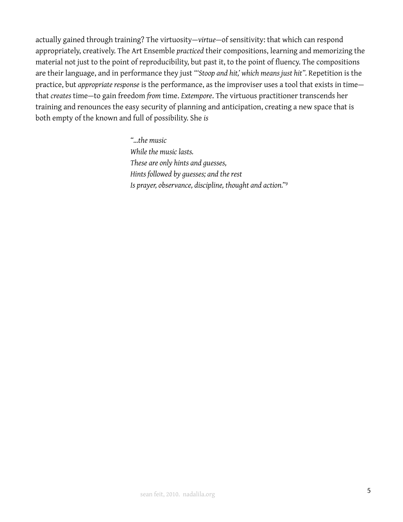actually gained through training? The virtuosity—*virtue—*of sensitivity: that which can respond appropriately, creatively. The Art Ensemble *practiced* their compositions, learning and memorizing the material not just to the point of reproducibility, but past it, to the point of fluency. The compositions are their language, and in performance they just *"'Stoop and hit,' which means just hit".* Repetition is the practice, but *appropriate response* is the performance, as the improviser uses a tool that exists in time that *creates* time—to gain freedom *from* time. *Extempore*. The virtuous practitioner transcends her training and renounces the easy security of planning and anticipation, creating a new space that is both empty of the known and full of possibility. She *is*

> *"…the music While the music lasts. These are only hints and guesses, Hints followed by guesses; and the rest Is prayer, observance, discipline, thought and action."[9](#page-5-8)*